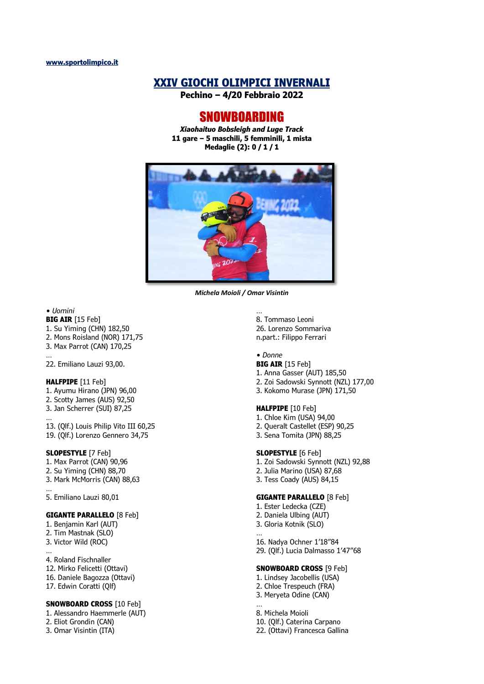# **XXIV GIOCHI OLIMPICI INVERNALI**

**Pechino – 4/20 Febbraio 2022**

# SNOWBOARDING

*Xiaohaituo Bobsleigh and Luge Track* **11 gare – 5 maschili, 5 femminili, 1 mista Medaglie (2): 0 / 1 / 1**



*Michela Moioli / Omar Visintin*

# *• Uomini*

- **BIG AIR** [15 Feb]
- 1. Su Yiming (CHN) 182,50
- 2. Mons Roisland (NOR) 171,75
- 3. Max Parrot (CAN) 170,25 …

22. Emiliano Lauzi 93,00.

#### **HALFPIPE** [11 Feb]

- 1. Ayumu Hirano (JPN) 96,00 2. Scotty James (AUS) 92,50
- 3. Jan Scherrer (SUI) 87,25 …

13. (Qlf.) Louis Philip Vito III 60,25 19. (Qlf.) Lorenzo Gennero 34,75

### **SLOPESTYLE** [7 Feb]

- 1. Max Parrot (CAN) 90,96
- 2. Su Yiming (CHN) 88,70
- 3. Mark McMorris (CAN) 88,63 …

5. Emiliano Lauzi 80,01

### **GIGANTE PARALLELO** [8 Feb]

- 1. Benjamin Karl (AUT)
- 2. Tim Mastnak (SLO)
- 3. Victor Wild (ROC) …
- 4. Roland Fischnaller
- 12. Mirko Felicetti (Ottavi)
- 16. Daniele Bagozza (Ottavi)
- 17. Edwin Coratti (Qlf)

# **SNOWBOARD CROSS** [10 Feb]

1. Alessandro Haemmerle (AUT)

- 2. Eliot Grondin (CAN)
- 3. Omar Visintin (ITA)

8. Tommaso Leoni 26. Lorenzo Sommariva n.part.: Filippo Ferrari

### *• Donne*

…

- **BIG AIR** [15 Feb]
- 1. Anna Gasser (AUT) 185,50
- 2. Zoi Sadowski Synnott (NZL) 177,00
- 3. Kokomo Murase (JPN) 171,50

# **HALFPIPE** [10 Feb]

- 1. Chloe Kim (USA) 94,00
- 2. Queralt Castellet (ESP) 90,25
- 3. Sena Tomita (JPN) 88,25

# **SLOPESTYLE** [6 Feb]

- 1. Zoi Sadowski Synnott (NZL) 92,88
- 2. Julia Marino (USA) 87,68
- 3. Tess Coady (AUS) 84,15

### **GIGANTE PARALLELO** [8 Feb]

- 1. Ester Ledecka (CZE) 2. Daniela Ulbing (AUT)
- 3. Gloria Kotnik (SLO)
- … 16. Nadya Ochner 1'18"84 29. (Qlf.) Lucia Dalmasso 1'47"68

# **SNOWBOARD CROSS** [9 Feb]

- 1. Lindsey Jacobellis (USA) 2. Chloe Trespeuch (FRA)
- 3. Meryeta Odine (CAN)

… 8. Michela Moioli 10. (Qlf.) Caterina Carpano 22. (Ottavi) Francesca Gallina